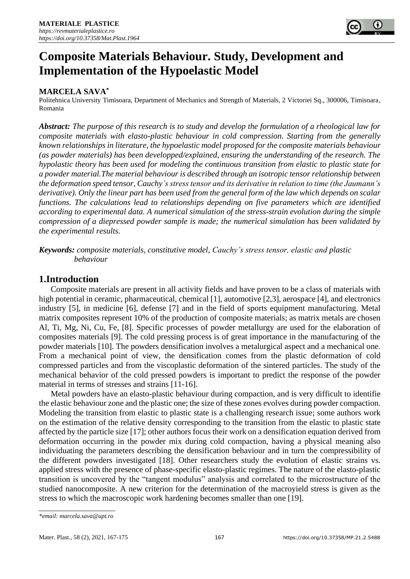

# **Composite Materials Behaviour. Study, Development and Implementation of the Hypoelastic Model**

# **MARCELA SAVA\***

Politehnica University Timisoara, Department of Mechanics and Strength of Materials, 2 Victoriei Sq., 300006, Timisoara, Romania

*Abstract: The purpose of this research is to study and develop the formulation of a rheological law for composite materials with elasto-plastic behaviour in cold compression. Starting from the generally known relationships in literature, the hypoelastic model proposed for the composite materials behaviour (as powder materials) has been developped/explained, ensuring the understanding of the research. The hypolastic theory has been used for modeling the continuous transition from elastic to plastic state for a powder material.The material behaviour is described through an isotropic tensor relationship between the deformation speed tensor, Cauchy's stress tensor and its derivative in relation to time (the Jaumann's derivative). Only the linear part has been used from the general form of the law which depends on scalar functions. The calculations lead to relationships depending on five parameters which are identified according to experimental data. A numerical simulation of the stress-strain evolution during the simple compression of a diepressed powder sample is made; the numerical simulation has been validated by the experimental results.*

*Keywords: composite materials, constitutive model, Cauchy's stress tensor, elastic and plastic behaviour*

# **1.Introduction**

Composite materials are present in all activity fields and have proven to be a class of materials with high potential in ceramic, pharmaceutical, chemical [1], automotive [2,3], aerospace [4], and electronics industry [5], in medicine [6], defense [7] and in the field of sports equipment manufacturing. Metal matrix composites represent 10% of the production of composite materials; as matrix metals are chosen Al, Ti, Mg, Ni, Cu, Fe, [8]. Specific processes of powder metallurgy are used for the elaboration of composites materials [9]. The cold pressing process is of great importance in the manufacturing of the powder materials [10]. The powders densification involves a metalurgical aspect and a mechanical one. From a mechanical point of view, the densification comes from the plastic deformation of cold compressed particles and from the viscoplastic deformation of the sintered particles. The study of the mechanical behavior of the cold pressed powders is important to predict the response of the powder material in terms of stresses and strains [11-16].

Metal powders have an elasto-plastic behaviour during compaction, and is very difficult to identifie the elastic behaviour zone and the plastic one; the size of these zones evolves during powder compaction. Modeling the transition from elastic to plastic state is a challenging research issue; some authors work on the estimation of the relative density corresponding to the transition from the elastic to plastic state affected by the particle size [17]; other authors focus their work on a densification equation derived from deformation occurring in the powder mix during cold compaction, having a physical meaning also individuating the parameters describing the densification behaviour and in turn the compressibility of the different powders investigated [18]. Other researchers study the evolution of elastic strains vs. applied stress with the presence of phase-specific elasto-plastic regimes. The nature of the elasto-plastic transition is uncovered by the "tangent modulus" analysis and correlated to the microstructure of the studied nanocomposite. A new criterion for the determination of the macroyield stress is given as the stress to which the macroscopic work hardening becomes smaller than one [19].

*<sup>\*</sup>email[: marcela.sava@upt.ro](mailto:marcela.sava@upt.ro)*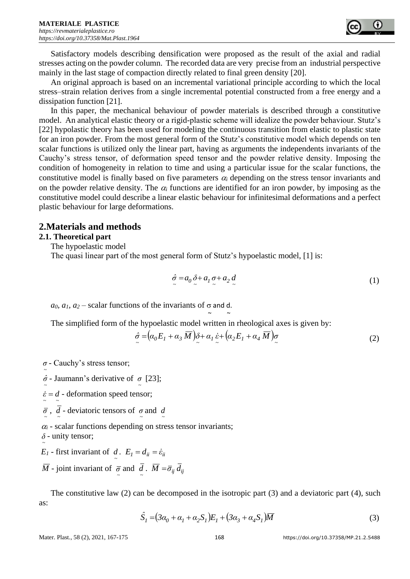Satisfactory models describing densification were proposed as the result of the axial and radial stresses acting on the powder column. The recorded data are very precise from an industrial perspective mainly in the last stage of compaction directly related to final green density [20].

An original approach is based on an incremental variational principle according to which the local stress–strain relation derives from a single incremental potential constructed from a free energy and a dissipation function [21].

In this paper, the mechanical behaviour of powder materials is described through a constitutive model. An analytical elastic theory or a rigid-plastic scheme will idealize the powder behaviour. Stutz's [22] hypolastic theory has been used for modeling the continuous transition from elastic to plastic state for an iron powder. From the most general form of the Stutz's constitutive model which depends on ten scalar functions is utilized only the linear part, having as arguments the independents invariants of the Cauchy's stress tensor, of deformation speed tensor and the powder relative density. Imposing the condition of homogeneity in relation to time and using a particular issue for the scalar functions, the constitutive model is finally based on five parameters  $\alpha_i$  depending on the stress tensor invariants and on the powder relative density. The  $\alpha_i$  functions are identified for an iron powder, by imposing as the constitutive model could describe a linear elastic behaviour for infinitesimal deformations and a perfect plastic behaviour for large deformations.

# **2.Materials and methods**

## **2.1. Theoretical part**

The hypoelastic model

The quasi linear part of the most general form of Stutz's hypoelastic model, [1] is:

$$
\hat{\sigma} = a_0 \, \delta + a_1 \, \sigma + a_2 \, d \tag{1}
$$

*a*<sub>0</sub>*, a*<sub>1</sub>*, a*<sub>2</sub> – scalar functions of the invariants of  $\sigma$  and d.

The simplified form of the hypoelastic model written in rheological axes is given by:

 $\sim$   $\sim$   $\sim$ 

$$
\hat{\sigma} = \left(\alpha_0 E_1 + \alpha_3 \,\overline{M}\right) \hat{\delta} + \alpha_1 \,\hat{\varepsilon} + \left(\alpha_2 E_1 + \alpha_4 \,\overline{M}\right) \sigma \tag{2}
$$

*~ σ* - Cauchy's stress tensor;

- *~ σ ˆ* Jaumann's derivative of *~ σ* [23];
- *~ ~*  $\dot{\varepsilon} = d$  - deformation speed tensor;
- $\overline{\sigma}$ , *d* deviatoric tensors of  $\sigma$  and *d*
- $\alpha_i$  scalar functions depending on stress tensor invariants;

*~ δ* - unity tensor;

- *E*<sub>*I*</sub> first invariant of *d*.  $E_i = d_{ii} = \dot{\varepsilon}_{ii}$ *~*
- $\overline{M}$  joint invariant of  $\overline{\sigma}$  and  $\overline{d}$ .  $\overline{M} = \overline{\sigma}_{ij} d_{ij}$

The constitutive law (2) can be decomposed in the isotropic part (3) and a deviatoric part (4), such as:

$$
\hat{S}_I = (3\alpha_0 + \alpha_1 + \alpha_2 S_I)E_I + (3\alpha_3 + \alpha_4 S_I)\overline{M}
$$
\n(3)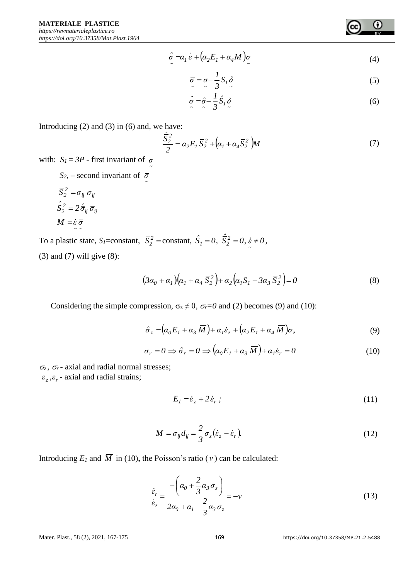$$
\frac{\partial}{\partial \tau} = \alpha_I \dot{\vec{\varepsilon}} + \left(\alpha_2 E_I + \alpha_4 \overline{M}\right) \overline{\sigma}
$$
\n<sup>(4)</sup>

$$
\overline{\sigma} = \sigma - \frac{1}{3} S_I \delta \tag{5}
$$

$$
\hat{\overline{\sigma}} = \hat{\sigma} - \frac{1}{3} \hat{S}_1 \delta \tag{6}
$$

Introducing  $(2)$  and  $(3)$  in  $(6)$  and, we have:

$$
\frac{\hat{\overline{S}}_2^2}{2} = \alpha_2 E_I \, \overline{S}_2^2 + \left(\alpha_I + \alpha_4 \overline{S}_2^2\right) \overline{M} \tag{7}
$$

with:  $S_l = 3P$  - first invariant of  $\sigma$ 

*S*<sub>2</sub>*,* – second invariant of  $\bar{\sigma}$ 

$$
\overline{S}_2^2 = \overline{\sigma}_{ij} \overline{\sigma}_{ij}
$$

$$
\overline{\hat{S}}_2^2 = 2 \overline{\hat{\sigma}}_{ij} \overline{\sigma}_{ij}
$$

$$
\overline{M} = \overline{\hat{\varepsilon}} \overline{\sigma}
$$

To a plastic state,  $S_l$ =constant,  $\overline{S}_2^2$  = constant,  $\hat{S}_l = 0$ ,  $\overline{\hat{S}}_2^2 = 0$ ,  $\overline{\hat{S}}_2 \neq 0$ , (3) and (7) will give (8):

$$
(3\alpha_0 + \alpha_1)(\alpha_1 + \alpha_4 \overline{S}_2^2) + \alpha_2(\alpha_1 S_1 - 3\alpha_3 \overline{S}_2^2) = 0
$$
 (8)

Considering the simple compression,  $\sigma_z \neq 0$ ,  $\sigma_r = 0$  and (2) becomes (9) and (10):

$$
\hat{\sigma}_z = \left(\alpha_0 E_I + \alpha_3 \,\overline{M}\right) + \alpha_I \dot{\varepsilon}_z + \left(\alpha_2 E_I + \alpha_4 \,\overline{M}\right) \sigma_z \tag{9}
$$

$$
\sigma_r = 0 \implies \hat{\sigma}_r = 0 \implies (\alpha_0 E_1 + \alpha_3 \,\overline{M}) + \alpha_1 \hat{\varepsilon}_r = 0 \tag{10}
$$

 $\sigma_z$ ,  $\sigma_r$  - axial and radial normal stresses;

 $\varepsilon_z$ , $\varepsilon_r$  - axial and radial strains;

$$
E_1 = \dot{\varepsilon}_z + 2\,\dot{\varepsilon}_r \tag{11}
$$

$$
\overline{M} = \overline{\sigma}_{ij}\overline{d}_{ij} = \frac{2}{3}\sigma_z(\dot{\varepsilon}_z - \dot{\varepsilon}_r). \tag{12}
$$

Introducing  $E_I$  and  $\overline{M}$  in (10), the Poisson's ratio ( $\nu$ ) can be calculated:

$$
\frac{\dot{\varepsilon}_r}{\dot{\varepsilon}_z} = \frac{-\left(\alpha_0 + \frac{2}{3}\alpha_3\sigma_z\right)}{2\alpha_0 + \alpha_1 - \frac{2}{3}\alpha_3\sigma_z} = -v
$$
\n(13)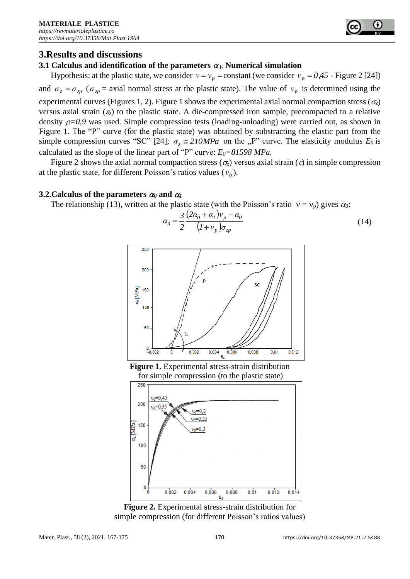

# **3.Results and discussions**

## **3.1** Calculus and identification of the parameters  $\alpha_i$ . Numerical simulation

Hypothesis: at the plastic state, we consider  $v = v_p = constant$  (we consider  $v_p = 0.45$  - Figure 2 [24]) and  $\sigma_z = \sigma_{zp}$  ( $\sigma_{zp} =$  axial normal stress at the plastic state). The value of  $v_p$  is determined using the experimental curves (Figures 1, 2). Figure 1 shows the experimental axial normal compaction stress ( $\sigma_z$ ) versus axial strain  $(\varepsilon)$  to the plastic state. A die-compressed iron sample, precompacted to a relative density  $\rho=0.9$  was used. Simple compression tests (loading-unloading) were carried out, as shown in Figure 1. The "P" curve (for the plastic state) was obtained by substracting the elastic part from the simple compression curves "SC" [24];  $\sigma_z \approx 210 MPa$  on the "P" curve. The elasticity modulus  $E_0$  is calculated as the slope of the linear part of "P" curve: *E0=81598 MPa.*

Figure 2 shows the axial normal compaction stress ( $\sigma_z$ ) versus axial strain ( $\varepsilon$ ) in simple compression at the plastic state, for different Poisson's ratios values  $(v_0)$ .

#### **3.2. Calculus of the parameters**  $\alpha_0$  **and**  $\alpha_1$

The relationship (13), written at the plastic state (with the Poisson's ratio  $v = v_p$ ) gives  $\alpha_3$ :

$$
\alpha_3 = \frac{3}{2} \frac{(2\alpha_0 + \alpha_1)v_p - \alpha_0}{(1 + v_p)\sigma_{zp}}\tag{14}
$$



**Figure 1.** Experimental **s**tress-strain distribution for simple compression (to the plastic state)



**Figure 2.** Experimental **s**tress-strain distribution for simple compression (for different Poisson's ratios values)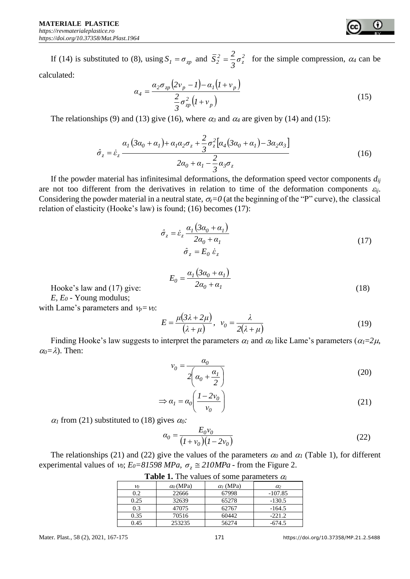If (14) is substituted to (8), using  $S_1 = \sigma_{\gamma}$  and  $\overline{S}_2^2 = \frac{2}{3} \sigma_{\overline{z}}^2$ *z*  $2^{2} = \frac{2}{3}\sigma$  $\overline{S}_2^2 = \frac{2}{3}\sigma_1^2$  for the simple compression,  $\alpha_4$  can be calculated:

$$
\alpha_4 = \frac{\alpha_2 \sigma_{zp} \left(2v_p - l\right) - \alpha_1 \left(l + v_p\right)}{\frac{2}{3} \sigma_{zp}^2 \left(l + v_p\right)}
$$
\n(15)

The relationships (9) and (13) give (16), where  $\alpha_3$  and  $\alpha_4$  are given by (14) and (15):

$$
\hat{\sigma}_z = \dot{\varepsilon}_z \frac{\alpha_1 (3\alpha_0 + \alpha_1) + \alpha_1 \alpha_2 \sigma_z + \frac{2}{3} \sigma_z^2 [\alpha_4 (3\alpha_0 + \alpha_1) - 3\alpha_2 \alpha_3]}{2\alpha_0 + \alpha_1 - \frac{2}{3} \alpha_3 \sigma_z}
$$
(16)

If the powder material has infinitesimal deformations, the deformation speed vector components  $d_{ij}$ are not too different from the derivatives in relation to time of the deformation components  $\varepsilon_{ij}$ . Considering the powder material in a neutral state,  $\sigma_z = 0$  (at the beginning of the "P" curve), the classical relation of elasticity (Hooke's law) is found; (16) becomes (17):

$$
\hat{\sigma}_z = \dot{\varepsilon}_z \frac{\alpha_1 (3\alpha_0 + \alpha_1)}{2\alpha_0 + \alpha_1} \n\hat{\sigma}_z = E_0 \dot{\varepsilon}_z
$$
\n(17)

$$
E_0 = \frac{\alpha_1 (3\alpha_0 + \alpha_1)}{2\alpha_0 + \alpha_1} \tag{18}
$$

Hooke's law and (17) give:

*E, E<sup>0</sup>* - Young modulus; with Lame's parameters and  $v_p = v_0$ :

$$
E = \frac{\mu(3\lambda + 2\mu)}{(\lambda + \mu)}, \quad v_0 = \frac{\lambda}{2(\lambda + \mu)}
$$
(19)

Finding Hooke's law suggests to interpret the parameters  $\alpha_1$  and  $\alpha_0$  like Lame's parameters ( $\alpha_1=2\mu$ ,  $\alpha_0 = \lambda$ ). Then:

$$
v_0 = \frac{\alpha_0}{2\left(\alpha_0 + \frac{\alpha_1}{2}\right)}\tag{20}
$$

$$
\Rightarrow \alpha_I = \alpha_0 \left( \frac{I - 2v_0}{v_0} \right) \tag{21}
$$

 $\alpha_1$  from (21) substituted to (18) gives  $\alpha_0$ :

$$
\alpha_0 = \frac{E_0 v_0}{(1 + v_0)(1 - 2v_0)}
$$
\n(22)

The relationships (21) and (22) give the values of the parameters  $\alpha_0$  and  $\alpha_1$  (Table 1), for different experimental values of *v<sub>0</sub>*;  $E_0 = 81598 \text{ MPa}$ ,  $\sigma_z \approx 210 \text{ MPa}$  - from the Figure 2.

| <b>Lable 1.</b> The values of some parameters $u_i$ |                  |                  |           |
|-----------------------------------------------------|------------------|------------------|-----------|
| vo                                                  | $\alpha_0$ (MPa) | $\alpha_l$ (MPa) | $\alpha$  |
| 0.2                                                 | 22666            | 67998            | $-107.85$ |
| 0.25                                                | 32639            | 65278            | $-130.5$  |
| 0.3                                                 | 47075            | 62767            | $-164.5$  |
| 0.35                                                | 70516            | 60442            | $-221.2$  |
| 0.45                                                | 253235           | 56274            | -674.5    |

**Table 1.** The values of some parameters  $\alpha$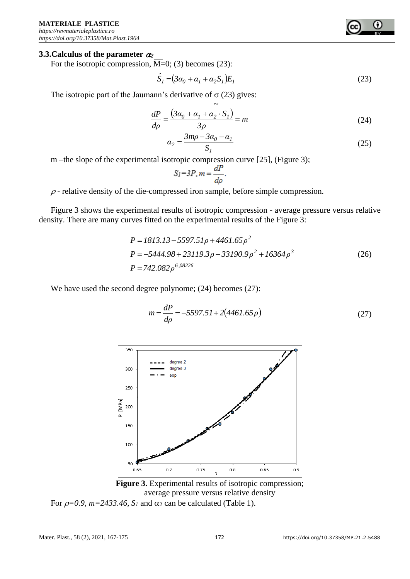#### **3.3.Calculus of the parameter** *<sup>2</sup>*

For the isotropic compression,  $M=0$ ; (3) becomes (23):

$$
\hat{S}_I = (3\alpha_0 + \alpha_1 + \alpha_2 S_I) E_I \tag{23}
$$

The isotropic part of the Jaumann's derivative of  $\sigma$  (23) gives:

$$
\frac{dP}{d\rho} = \frac{3\alpha_0 + \alpha_1 + \alpha_2 \cdot S_1}{3\rho} = m
$$
\n(24)

$$
\alpha_2 = \frac{3mp - 3\alpha_0 - \alpha_1}{S_1} \tag{25}
$$

m –the slope of the experimental isotropic compression curve [25], (Figure 3);

$$
S_I = 3P, m = \frac{dP}{d\rho}.
$$

 $\rho$ -relative density of the die-compressed iron sample, before simple compression.

Figure 3 shows the experimental results of isotropic compression - average pressure versus relative density. There are many curves fitted on the experimental results of the Figure 3:

$$
P = 1813.13 - 5597.51\rho + 4461.65\rho^2
$$
  
\n
$$
P = -5444.98 + 23119.3\rho - 33190.9\rho^2 + 16364\rho^3
$$
  
\n
$$
P = 742.082\rho^{6,08226}
$$
\n(26)

We have used the second degree polynome; (24) becomes (27):

$$
m = \frac{dP}{d\rho} = -5597.51 + 2(4461.65\rho)
$$
\n(27)



**Figure 3.** Experimental results of isotropic compression; average pressure versus relative density

For  $\rho=0.9$ ,  $m=2433.46$ ,  $S_1$  and  $\alpha_2$  can be calculated (Table 1).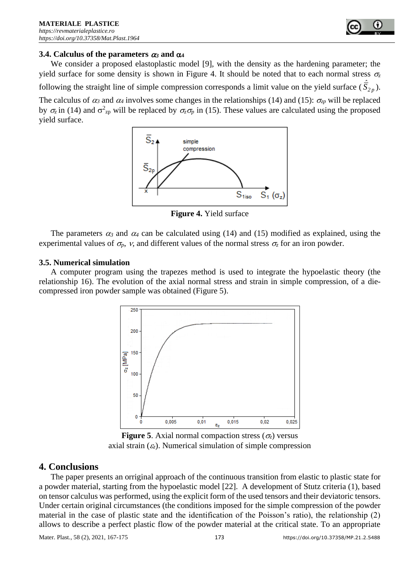

#### **3.4.** Calculus of the parameters  $\alpha_3$  and  $\alpha_4$

We consider a proposed elastoplastic model [9], with the density as the hardening parameter; the yield surface for some density is shown in Figure 4. It should be noted that to each normal stress  $\sigma_z$ following the straight line of simple compression corresponds a limit value on the yield surface ( $\hat{S}_{2p}$ ). The calculus of  $\alpha_3$  and  $\alpha_4$  involves some changes in the relationships (14) and (15):  $\sigma_{zp}$  will be replaced by  $\sigma_z$  in (14) and  $\sigma_{zp}^2$  will be replaced by  $\sigma_z \sigma_p$  in (15). These values are calculated using the proposed yield surface.



**Figure 4.** Yield surface

The parameters  $\alpha_3$  and  $\alpha_4$  can be calculated using (14) and (15) modified as explained, using the experimental values of  $\sigma_p$ , *v*, and different values of the normal stress  $\sigma_z$  for an iron powder.

#### **3.5. Numerical simulation**

A computer program using the trapezes method is used to integrate the hypoelastic theory (the relationship 16). The evolution of the axial normal stress and strain in simple compression, of a diecompressed iron powder sample was obtained (Figure 5).



**Figure 5**. Axial normal compaction stress ( $\sigma_z$ ) versus axial strain  $(\varepsilon_z)$ . Numerical simulation of simple compression

## **4. Conclusions**

The paper presents an orriginal approach of the continuous transition from elastic to plastic state for a powder material, starting from the hypoelastic model [22]. A development of Stutz criteria (1), based on tensor calculus was performed, using the explicit form of the used tensors and their deviatoric tensors. Under certain original circumstances (the conditions imposed for the simple compression of the powder material in the case of plastic state and the identification of the Poisson's ratio), the relationship (2) allows to describe a perfect plastic flow of the powder material at the critical state. To an appropriate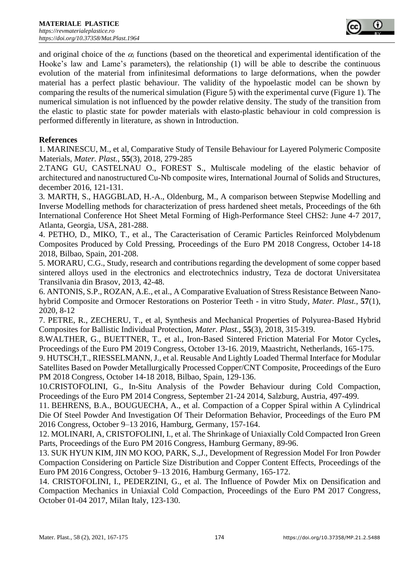and original choice of the  $\alpha_i$  functions (based on the theoretical and experimental identification of the Hooke's law and Lame's parameters), the relationship (1) will be able to describe the continuous evolution of the material from infinitesimal deformations to large deformations, when the powder material has a perfect plastic behaviour. The validity of the hypoelastic model can be shown by comparing the results of the numerical simulation (Figure 5) with the experimental curve (Figure 1). The numerical simulation is not influenced by the powder relative density. The study of the transition from the elastic to plastic state for powder materials with elasto-plastic behaviour in cold compression is performed differently in literature, as shown in Introduction.

## **References**

1. MARINESCU, M., et al, Comparative Study of Tensile Behaviour for Layered Polymeric Composite Materials, *Mater. Plast.*, **55**(3), 2018, 279-285

2.TANG GU, CASTELNAU O., FOREST S., Multiscale modeling of the elastic behavior of architectured and nanostructured Cu-Nb composite wires, International Journal of Solids and Structures, december 2016, 121-131.

3*.* MARTH, S., HAGGBLAD, H.-A., Oldenburg*,* M., A comparison between Stepwise Modelling and Inverse Modelling methods for characterization of press hardened sheet metals, Proceedings of the 6th International Conference Hot Sheet Metal Forming of High-Performance Steel CHS2: June 4-7 2017, Atlanta, Georgia, USA, 281-288.

4. PETHO, D., MIKO, T., et al., The Caracterisation of Ceramic Particles Reinforced Molybdenum Composites Produced by Cold Pressing, Proceedings of the Euro PM 2018 Congress, October 14-18 2018, Bilbao, Spain, 201-208.

5. MORARU, C.G., Study, research and contributions regarding the development of some copper based sintered alloys used in the electronics and electrotechnics industry, Teza de doctorat Universitatea Transilvania din Brasov, 2013, 42-48.

6. ANTONIS, S.P., ROZAN, A.E., et al., A Comparative Evaluation of Stress Resistance Between Nanohybrid Composite and Ormocer Restorations on Posterior Teeth - in vitro Study, *Mater. Plast.*, **57**(1), 2020, 8-12

7. PETRE, R., ZECHERU, T., et al, Synthesis and Mechanical Properties of Polyurea-Based Hybrid Composites for Ballistic Individual Protection, *Mater. Plast.*, **55**(3), 2018, 315-319.

8.WALTHER, G., BUETTNER, T., et al., Iron-Based Sintered Friction Material For Motor Cycles**,**  Proceedings of the Euro PM 2019 Congress, October 13-16. 2019, Maastricht, Netherlands*,* 165-175.

9. HUTSCH,T., RIESSELMANN, J., et al. Reusable And Lightly Loaded Thermal Interface for Modular Satellites Based on Powder Metallurgically Processed Copper/CNT Composite, Proceedings of the Euro PM 2018 Congress, October 14-18 2018, Bilbao, Spain, 129-136.

10.CRISTOFOLINI, G., In-Situ Analysis of the Powder Behaviour during Cold Compaction, Proceedings of the Euro PM 2014 Congress, September 21-24 2014, Salzburg, Austria, 497-499.

11. BEHRENS, B.A., BOUGUECHA, A., et al. Compaction of a Copper Spiral within A Cylindrical Die Of Steel Powder And Investigation Of Their Deformation Behavior, Proceedings of the Euro PM 2016 Congress, October 9–13 2016, Hamburg, Germany, 157-164.

12. MOLINARI, A, CRISTOFOLINI, I., et al. The Shrinkage of Uniaxially Cold Compacted Iron Green Parts, Proceedings of the Euro PM 2016 Congress, Hamburg Germany, 89-96.

13. SUK HYUN KIM, JIN MO KOO, PARK, S.,J., Development of Regression Model For Iron Powder Compaction Considering on Particle Size Distribution and Copper Content Effects, Proceedings of the Euro PM 2016 Congress, October 9–13 2016, Hamburg Germany, 165-172.

14. CRISTOFOLINI, I., PEDERZINI, G., et al. The Influence of Powder Mix on Densification and Compaction Mechanics in Uniaxial Cold Compaction, Proceedings of the Euro PM 2017 Congress, October 01-04 2017, Milan Italy, 123-130.